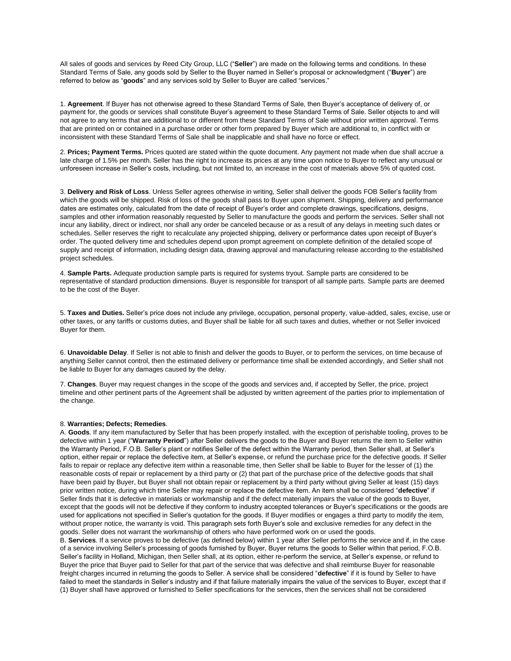All sales of goods and services by Reed City Group, LLC ("**Seller**") are made on the following terms and conditions. In these Standard Terms of Sale, any goods sold by Seller to the Buyer named in Seller's proposal or acknowledgment ("**Buyer**") are referred to below as "**goods**" and any services sold by Seller to Buyer are called "services."

1. **Agreement**. If Buyer has not otherwise agreed to these Standard Terms of Sale, then Buyer's acceptance of delivery of, or payment for, the goods or services shall constitute Buyer's agreement to these Standard Terms of Sale. Seller objects to and will not agree to any terms that are additional to or different from these Standard Terms of Sale without prior written approval. Terms that are printed on or contained in a purchase order or other form prepared by Buyer which are additional to, in conflict with or inconsistent with these Standard Terms of Sale shall be inapplicable and shall have no force or effect.

2. **Prices; Payment Terms.** Prices quoted are stated within the quote document. Any payment not made when due shall accrue a late charge of 1.5% per month. Seller has the right to increase its prices at any time upon notice to Buyer to reflect any unusual or unforeseen increase in Seller's costs, including, but not limited to, an increase in the cost of materials above 5% of quoted cost.

3. **Delivery and Risk of Loss**. Unless Seller agrees otherwise in writing, Seller shall deliver the goods FOB Seller's facility from which the goods will be shipped. Risk of loss of the goods shall pass to Buyer upon shipment. Shipping, delivery and performance dates are estimates only, calculated from the date of receipt of Buyer's order and complete drawings, specifications, designs, samples and other information reasonably requested by Seller to manufacture the goods and perform the services. Seller shall not incur any liability, direct or indirect, nor shall any order be canceled because or as a result of any delays in meeting such dates or schedules. Seller reserves the right to recalculate any projected shipping, delivery or performance dates upon receipt of Buyer's order. The quoted delivery time and schedules depend upon prompt agreement on complete definition of the detailed scope of supply and receipt of information, including design data, drawing approval and manufacturing release according to the established project schedules.

4. **Sample Parts.** Adequate production sample parts is required for systems tryout. Sample parts are considered to be representative of standard production dimensions. Buyer is responsible for transport of all sample parts. Sample parts are deemed to be the cost of the Buyer.

5. **Taxes and Duties.** Seller's price does not include any privilege, occupation, personal property, value-added, sales, excise, use or other taxes, or any tariffs or customs duties, and Buyer shall be liable for all such taxes and duties, whether or not Seller invoiced Buyer for them.

6. **Unavoidable Delay**. If Seller is not able to finish and deliver the goods to Buyer, or to perform the services, on time because of anything Seller cannot control, then the estimated delivery or performance time shall be extended accordingly, and Seller shall not be liable to Buyer for any damages caused by the delay.

7. **Changes**. Buyer may request changes in the scope of the goods and services and, if accepted by Seller, the price, project timeline and other pertinent parts of the Agreement shall be adjusted by written agreement of the parties prior to implementation of the change.

## 8. **Warranties; Defects; Remedies**.

A. **Goods**. If any item manufactured by Seller that has been properly installed, with the exception of perishable tooling, proves to be defective within 1 year ("**Warranty Period**") after Seller delivers the goods to the Buyer and Buyer returns the item to Seller within the Warranty Period, F.O.B. Seller's plant or notifies Seller of the defect within the Warranty period, then Seller shall, at Seller's option, either repair or replace the defective item, at Seller's expense, or refund the purchase price for the defective goods. If Seller fails to repair or replace any defective item within a reasonable time, then Seller shall be liable to Buyer for the lesser of (1) the reasonable costs of repair or replacement by a third party or (2) that part of the purchase price of the defective goods that shall have been paid by Buyer, but Buyer shall not obtain repair or replacement by a third party without giving Seller at least (15) days prior written notice, during which time Seller may repair or replace the defective item. An item shall be considered "**defective**" if Seller finds that it is defective in materials or workmanship and if the defect materially impairs the value of the goods to Buyer, except that the goods will not be defective if they conform to industry accepted tolerances or Buyer's specifications or the goods are used for applications not specified in Seller's quotation for the goods. If Buyer modifies or engages a third party to modify the item, without proper notice, the warranty is void. This paragraph sets forth Buyer's sole and exclusive remedies for any defect in the goods. Seller does not warrant the workmanship of others who have performed work on or used the goods.

B. **Services**. If a service proves to be defective (as defined below) within 1 year after Seller performs the service and if, in the case of a service involving Seller's processing of goods furnished by Buyer, Buyer returns the goods to Seller within that period, F.O.B. Seller's facility in Holland, Michigan, then Seller shall, at its option, either re-perform the service, at Seller's expense, or refund to Buyer the price that Buyer paid to Seller for that part of the service that was defective and shall reimburse Buyer for reasonable freight charges incurred in returning the goods to Seller. A service shall be considered "**defective**" if it is found by Seller to have failed to meet the standards in Seller's industry and if that failure materially impairs the value of the services to Buyer, except that if (1) Buyer shall have approved or furnished to Seller specifications for the services, then the services shall not be considered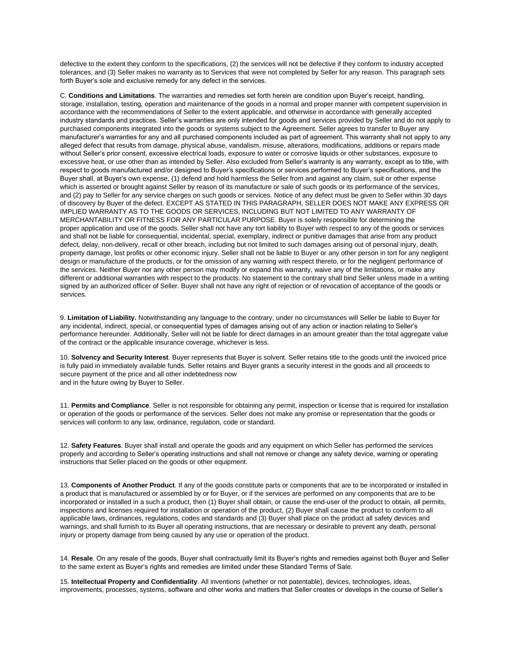defective to the extent they conform to the specifications, (2) the services will not be defective if they conform to industry accepted tolerances, and (3) Seller makes no warranty as to Services that were not completed by Seller for any reason. This paragraph sets forth Buyer's sole and exclusive remedy for any defect in the services.

C. **Conditions and Limitations**. The warranties and remedies set forth herein are condition upon Buyer's receipt, handling, storage, installation, testing, operation and maintenance of the goods in a normal and proper manner with competent supervision in accordance with the recommendations of Seller to the extent applicable, and otherwise in accordance with generally accepted industry standards and practices. Seller's warranties are only intended for goods and services provided by Seller and do not apply to purchased components integrated into the goods or systems subject to the Agreement. Seller agrees to transfer to Buyer any manufacturer's warranties for any and all purchased components included as part of agreement. This warranty shall not apply to any alleged defect that results from damage, physical abuse, vandalism, misuse, alterations, modifications, additions or repairs made without Seller's prior consent, excessive electrical loads, exposure to water or corrosive liquids or other substances, exposure to excessive heat, or use other than as intended by Seller. Also excluded from Seller's warranty is any warranty, except as to title, with respect to goods manufactured and/or designed to Buyer's specifications or services performed to Buyer's specifications, and the Buyer shall, at Buyer's own expense, (1) defend and hold harmless the Seller from and against any claim, suit or other expense which is asserted or brought against Seller by reason of its manufacture or sale of such goods or its performance of the services, and (2) pay to Seller for any service charges on such goods or services. Notice of any defect must be given to Seller within 30 days of discovery by Buyer of the defect. EXCEPT AS STATED IN THIS PARAGRAPH, SELLER DOES NOT MAKE ANY EXPRESS OR IMPLIED WARRANTY AS TO THE GOODS OR SERVICES, INCLUDING BUT NOT LIMITED TO ANY WARRANTY OF MERCHANTABILITY OR FITNESS FOR ANY PARTICULAR PURPOSE. Buyer is solely responsible for determining the proper application and use of the goods. Seller shall not have any tort liability to Buyer with respect to any of the goods or services and shall not be liable for consequential, incidental, special, exemplary, indirect or punitive damages that arise from any product defect, delay, non-delivery, recall or other breach, including but not limited to such damages arising out of personal injury, death, property damage, lost profits or other economic injury. Seller shall not be liable to Buyer or any other person in tort for any negligent design or manufacture of the products, or for the omission of any warning with respect thereto, or for the negligent performance of the services. Neither Buyer nor any other person may modify or expand this warranty, waive any of the limitations, or make any different or additional warranties with respect to the products. No statement to the contrary shall bind Seller unless made in a writing signed by an authorized officer of Seller. Buyer shall not have any right of rejection or of revocation of acceptance of the goods or services.

9. **Limitation of Liability.** Notwithstanding any language to the contrary, under no circumstances will Seller be liable to Buyer for any incidental, indirect, special, or consequential types of damages arising out of any action or inaction relating to Seller's performance hereunder. Additionally, Seller will not be liable for direct damages in an amount greater than the total aggregate value of the contract or the applicable insurance coverage, whichever is less.

10. **Solvency and Security Interest**. Buyer represents that Buyer is solvent. Seller retains title to the goods until the invoiced price is fully paid in immediately available funds. Seller retains and Buyer grants a security interest in the goods and all proceeds to secure payment of the price and all other indebtedness now and in the future owing by Buyer to Seller.

11. **Permits and Compliance**. Seller is not responsible for obtaining any permit, inspection or license that is required for installation or operation of the goods or performance of the services. Seller does not make any promise or representation that the goods or services will conform to any law, ordinance, regulation, code or standard.

12. **Safety Features**. Buyer shall install and operate the goods and any equipment on which Seller has performed the services properly and according to Seller's operating instructions and shall not remove or change any safety device, warning or operating instructions that Seller placed on the goods or other equipment.

13. **Components of Another Product**. If any of the goods constitute parts or components that are to be incorporated or installed in a product that is manufactured or assembled by or for Buyer, or if the services are performed on any components that are to be incorporated or installed in a such a product, then (1) Buyer shall obtain, or cause the end-user of the product to obtain, all permits, inspections and licenses required for installation or operation of the product, (2) Buyer shall cause the product to conform to all applicable laws, ordinances, regulations, codes and standards and (3) Buyer shall place on the product all safety devices and warnings, and shall furnish to its Buyer all operating instructions, that are necessary or desirable to prevent any death, personal injury or property damage from being caused by any use or operation of the product.

14. **Resale**. On any resale of the goods, Buyer shall contractually limit its Buyer's rights and remedies against both Buyer and Seller to the same extent as Buyer's rights and remedies are limited under these Standard Terms of Sale.

15. **Intellectual Property and Confidentiality**. All inventions (whether or not patentable), devices, technologies, ideas, improvements, processes, systems, software and other works and matters that Seller creates or develops in the course of Seller's